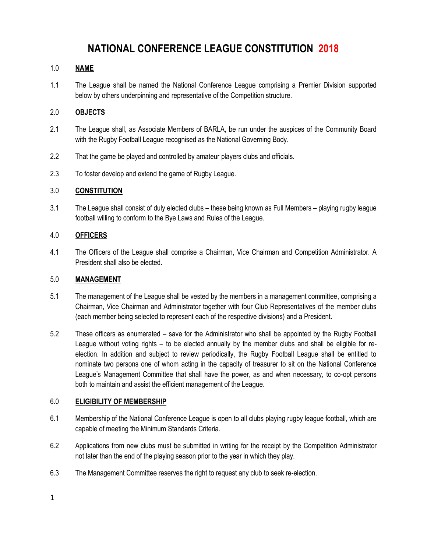# **NATIONAL CONFERENCE LEAGUE CONSTITUTION 2018**

## 1.0 **NAME**

1.1 The League shall be named the National Conference League comprising a Premier Division supported below by others underpinning and representative of the Competition structure.

## 2.0 **OBJECTS**

- 2.1 The League shall, as Associate Members of BARLA, be run under the auspices of the Community Board with the Rugby Football League recognised as the National Governing Body.
- 2.2 That the game be played and controlled by amateur players clubs and officials.
- 2.3 To foster develop and extend the game of Rugby League.

#### 3.0 **CONSTITUTION**

3.1 The League shall consist of duly elected clubs – these being known as Full Members – playing rugby league football willing to conform to the Bye Laws and Rules of the League.

## 4.0 **OFFICERS**

4.1 The Officers of the League shall comprise a Chairman, Vice Chairman and Competition Administrator. A President shall also be elected.

#### 5.0 **MANAGEMENT**

- 5.1 The management of the League shall be vested by the members in a management committee, comprising a Chairman, Vice Chairman and Administrator together with four Club Representatives of the member clubs (each member being selected to represent each of the respective divisions) and a President.
- 5.2 These officers as enumerated save for the Administrator who shall be appointed by the Rugby Football League without voting rights – to be elected annually by the member clubs and shall be eligible for reelection. In addition and subject to review periodically, the Rugby Football League shall be entitled to nominate two persons one of whom acting in the capacity of treasurer to sit on the National Conference League's Management Committee that shall have the power, as and when necessary, to co-opt persons both to maintain and assist the efficient management of the League.

#### 6.0 **ELIGIBILITY OF MEMBERSHIP**

- 6.1 Membership of the National Conference League is open to all clubs playing rugby league football, which are capable of meeting the Minimum Standards Criteria.
- 6.2 Applications from new clubs must be submitted in writing for the receipt by the Competition Administrator not later than the end of the playing season prior to the year in which they play.
- 6.3 The Management Committee reserves the right to request any club to seek re-election.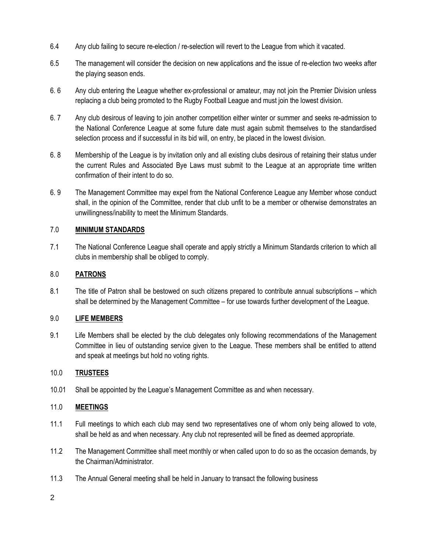- 6.4 Any club failing to secure re-election / re-selection will revert to the League from which it vacated.
- 6.5 The management will consider the decision on new applications and the issue of re-election two weeks after the playing season ends.
- 6. 6 Any club entering the League whether ex-professional or amateur, may not join the Premier Division unless replacing a club being promoted to the Rugby Football League and must join the lowest division.
- 6. 7 Any club desirous of leaving to join another competition either winter or summer and seeks re-admission to the National Conference League at some future date must again submit themselves to the standardised selection process and if successful in its bid will, on entry, be placed in the lowest division.
- 6. 8 Membership of the League is by invitation only and all existing clubs desirous of retaining their status under the current Rules and Associated Bye Laws must submit to the League at an appropriate time written confirmation of their intent to do so.
- 6. 9 The Management Committee may expel from the National Conference League any Member whose conduct shall, in the opinion of the Committee, render that club unfit to be a member or otherwise demonstrates an unwillingness/inability to meet the Minimum Standards.

## 7.0 **MINIMUM STANDARDS**

7.1 The National Conference League shall operate and apply strictly a Minimum Standards criterion to which all clubs in membership shall be obliged to comply.

## 8.0 **PATRONS**

8.1 The title of Patron shall be bestowed on such citizens prepared to contribute annual subscriptions – which shall be determined by the Management Committee – for use towards further development of the League.

## 9.0 **LIFE MEMBERS**

9.1 Life Members shall be elected by the club delegates only following recommendations of the Management Committee in lieu of outstanding service given to the League. These members shall be entitled to attend and speak at meetings but hold no voting rights.

#### 10.0 **TRUSTEES**

10.01 Shall be appointed by the League's Management Committee as and when necessary.

#### 11.0 **MEETINGS**

- 11.1 Full meetings to which each club may send two representatives one of whom only being allowed to vote, shall be held as and when necessary. Any club not represented will be fined as deemed appropriate.
- 11.2 The Management Committee shall meet monthly or when called upon to do so as the occasion demands, by the Chairman/Administrator.
- 11.3 The Annual General meeting shall be held in January to transact the following business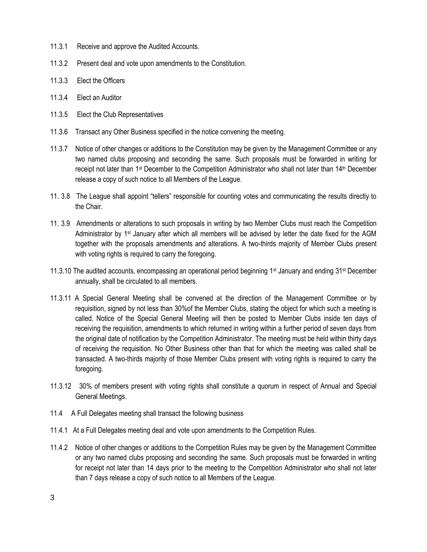- 11.3.1 Receive and approve the Audited Accounts.
- 11.3.2 Present deal and vote upon amendments to the Constitution.
- 11.3.3 Elect the Officers
- 11.3.4 Elect an Auditor
- 11.3.5 Elect the Club Representatives
- 11.3.6 Transact any Other Business specified in the notice convening the meeting.
- 11.3.7 Notice of other changes or additions to the Constitution may be given by the Management Committee or any two named clubs proposing and seconding the same. Such proposals must be forwarded in writing for receipt not later than 1<sup>st</sup> December to the Competition Administrator who shall not later than 14<sup>th</sup> December release a copy of such notice to all Members of the League.
- 11. 3.8 The League shall appoint "tellers" responsible for counting votes and communicating the results directly to the Chair.
- 11. 3.9 Amendments or alterations to such proposals in writing by two Member Clubs must reach the Competition Administrator by 1st January after which all members will be advised by letter the date fixed for the AGM together with the proposals amendments and alterations. A two-thirds majority of Member Clubs present with voting rights is required to carry the foregoing.
- 11.3.10 The audited accounts, encompassing an operational period beginning 1<sup>st</sup> January and ending 31<sup>st</sup> December annually, shall be circulated to all members.
- 11.3.11 A Special General Meeting shall be convened at the direction of the Management Committee or by requisition, signed by not less than 30%of the Member Clubs, stating the object for which such a meeting is called. Notice of the Special General Meeting will then be posted to Member Clubs inside ten days of receiving the requisition, amendments to which returned in writing within a further period of seven days from the original date of notification by the Competition Administrator. The meeting must be held within thirty days of receiving the requisition. No Other Business other than that for which the meeting was called shall be transacted. A two-thirds majority of those Member Clubs present with voting rights is required to carry the foregoing.
- 11.3.12 30% of members present with voting rights shall constitute a quorum in respect of Annual and Special General Meetings.
- 11.4 A Full Delegates meeting shall transact the following business
- 11.4.1 At a Full Delegates meeting deal and vote upon amendments to the Competition Rules.
- 11.4.2 Notice of other changes or additions to the Competition Rules may be given by the Management Committee or any two named clubs proposing and seconding the same. Such proposals must be forwarded in writing for receipt not later than 14 days prior to the meeting to the Competition Administrator who shall not later than 7 days release a copy of such notice to all Members of the League.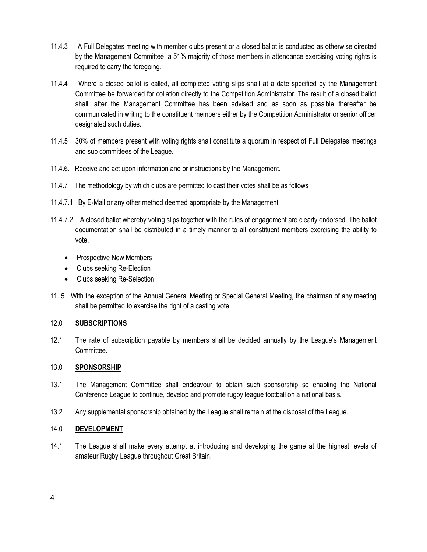- 11.4.3 A Full Delegates meeting with member clubs present or a closed ballot is conducted as otherwise directed by the Management Committee, a 51% majority of those members in attendance exercising voting rights is required to carry the foregoing.
- 11.4.4 Where a closed ballot is called, all completed voting slips shall at a date specified by the Management Committee be forwarded for collation directly to the Competition Administrator. The result of a closed ballot shall, after the Management Committee has been advised and as soon as possible thereafter be communicated in writing to the constituent members either by the Competition Administrator or senior officer designated such duties.
- 11.4.5 30% of members present with voting rights shall constitute a quorum in respect of Full Delegates meetings and sub committees of the League.
- 11.4.6. Receive and act upon information and or instructions by the Management.
- 11.4.7 The methodology by which clubs are permitted to cast their votes shall be as follows
- 11.4.7.1 By E-Mail or any other method deemed appropriate by the Management
- 11.4.7.2 A closed ballot whereby voting slips together with the rules of engagement are clearly endorsed. The ballot documentation shall be distributed in a timely manner to all constituent members exercising the ability to vote.
	- Prospective New Members
	- Clubs seeking Re-Election
	- Clubs seeking Re-Selection
- 11. 5 With the exception of the Annual General Meeting or Special General Meeting, the chairman of any meeting shall be permitted to exercise the right of a casting vote.

#### 12.0 **SUBSCRIPTIONS**

12.1 The rate of subscription payable by members shall be decided annually by the League's Management **Committee.** 

#### 13.0 **SPONSORSHIP**

- 13.1 The Management Committee shall endeavour to obtain such sponsorship so enabling the National Conference League to continue, develop and promote rugby league football on a national basis.
- 13.2 Any supplemental sponsorship obtained by the League shall remain at the disposal of the League.

#### 14.0 **DEVELOPMENT**

14.1 The League shall make every attempt at introducing and developing the game at the highest levels of amateur Rugby League throughout Great Britain.